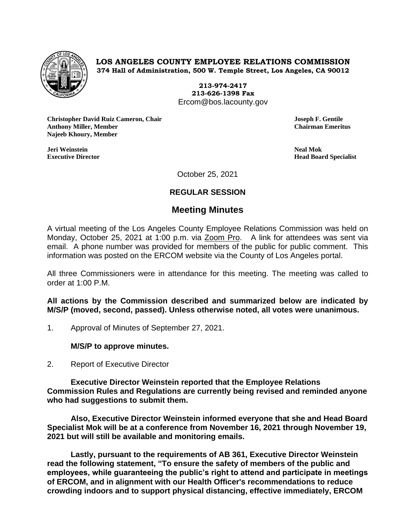

**LOS ANGELES COUNTY EMPLOYEE RELATIONS COMMISSION 374 Hall of Administration, 500 W. Temple Street, Los Angeles, CA 90012**

> **213-974-2417 213-626-1398 Fax** Ercom@bos.lacounty.gov

**Christopher David Ruiz Cameron, Chair Joseph F. Gentile Anthony Miller, Member Chairman Emeritus Najeeb Khoury, Member**

**Jeri Weinstein Neal Mok**

**Executive Director Head Board Specialist**

October 25, 2021

# **REGULAR SESSION**

# **Meeting Minutes**

A virtual meeting of the Los Angeles County Employee Relations Commission was held on Monday, October 25, 2021 at 1:00 p.m. via Zoom Pro. A link for attendees was sent via email. A phone number was provided for members of the public for public comment. This information was posted on the ERCOM website via the County of Los Angeles portal.

All three Commissioners were in attendance for this meeting. The meeting was called to order at 1:00 P.M.

**All actions by the Commission described and summarized below are indicated by M/S/P (moved, second, passed). Unless otherwise noted, all votes were unanimous.**

1. Approval of Minutes of September 27, 2021.

# **M/S/P to approve minutes.**

2. Report of Executive Director

**Executive Director Weinstein reported that the Employee Relations Commission Rules and Regulations are currently being revised and reminded anyone who had suggestions to submit them.** 

**Also, Executive Director Weinstein informed everyone that she and Head Board Specialist Mok will be at a conference from November 16, 2021 through November 19, 2021 but will still be available and monitoring emails.**

**Lastly, pursuant to the requirements of AB 361, Executive Director Weinstein read the following statement, "To ensure the safety of members of the public and employees, while guaranteeing the public's right to attend and participate in meetings of ERCOM, and in alignment with our Health Officer's recommendations to reduce crowding indoors and to support physical distancing, effective immediately, ERCOM**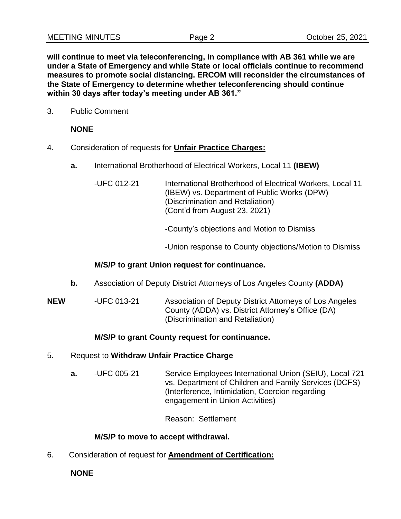**will continue to meet via teleconferencing, in compliance with AB 361 while we are under a State of Emergency and while State or local officials continue to recommend measures to promote social distancing. ERCOM will reconsider the circumstances of the State of Emergency to determine whether teleconferencing should continue within 30 days after today's meeting under AB 361."**

3. Public Comment

## **NONE**

- 4. Consideration of requests for **Unfair Practice Charges:**
	- **a.** International Brotherhood of Electrical Workers, Local 11 **(IBEW)**
		- -UFC 012-21 International Brotherhood of Electrical Workers, Local 11 (IBEW) vs. Department of Public Works (DPW) (Discrimination and Retaliation) (Cont'd from August 23, 2021)

-County's objections and Motion to Dismiss

-Union response to County objections/Motion to Dismiss

#### **M/S/P to grant Union request for continuance.**

- **b.** Association of Deputy District Attorneys of Los Angeles County **(ADDA)**
- **NEW** -UFC 013-21 Association of Deputy District Attorneys of Los Angeles County (ADDA) vs. District Attorney's Office (DA) (Discrimination and Retaliation)

# **M/S/P to grant County request for continuance.**

#### 5. Request to **Withdraw Unfair Practice Charge**

**a.** -UFC 005-21 Service Employees International Union (SEIU), Local 721 vs. Department of Children and Family Services (DCFS) (Interference, Intimidation, Coercion regarding engagement in Union Activities)

Reason: Settlement

#### **M/S/P to move to accept withdrawal.**

6. Consideration of request for **Amendment of Certification:**

**NONE**